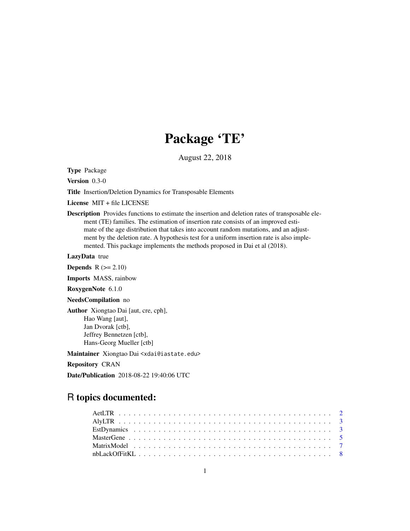## Package 'TE'

August 22, 2018

Type Package

Version 0.3-0

Title Insertion/Deletion Dynamics for Transposable Elements

License MIT + file LICENSE

Description Provides functions to estimate the insertion and deletion rates of transposable element (TE) families. The estimation of insertion rate consists of an improved estimate of the age distribution that takes into account random mutations, and an adjustment by the deletion rate. A hypothesis test for a uniform insertion rate is also implemented. This package implements the methods proposed in Dai et al (2018).

LazyData true

**Depends**  $R$  ( $>= 2.10$ )

Imports MASS, rainbow

RoxygenNote 6.1.0

NeedsCompilation no

Author Xiongtao Dai [aut, cre, cph], Hao Wang [aut], Jan Dvorak [ctb], Jeffrey Bennetzen [ctb], Hans-Georg Mueller [ctb]

Maintainer Xiongtao Dai <xdai@iastate.edu>

Repository CRAN

Date/Publication 2018-08-22 19:40:06 UTC

## R topics documented: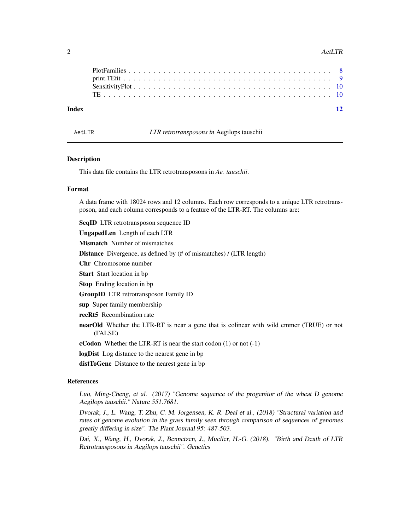#### <span id="page-1-0"></span>2 AetLTR

| Index |  |  |  |  |  |  |  |  |  |  |  |  |  |  |  |  |  | $\overline{12}$ |
|-------|--|--|--|--|--|--|--|--|--|--|--|--|--|--|--|--|--|-----------------|

AetLTR *LTR retrotransposons in* Aegilops tauschii

#### **Description**

This data file contains the LTR retrotransposons in *Ae. tauschii*.

#### Format

A data frame with 18024 rows and 12 columns. Each row corresponds to a unique LTR retrotransposon, and each column corresponds to a feature of the LTR-RT. The columns are:

SeqID LTR retrotransposon sequence ID

UngapedLen Length of each LTR

**Mismatch** Number of mismatches

Distance Divergence, as defined by (# of mismatches) / (LTR length)

Chr Chromosome number

Start Start location in bp

Stop Ending location in bp

GroupID LTR retrotransposon Family ID

sup Super family membership

recRt5 Recombination rate

nearOld Whether the LTR-RT is near a gene that is colinear with wild emmer (TRUE) or not (FALSE)

**cCodon** Whether the LTR-RT is near the start codon  $(1)$  or not  $(-1)$ 

logDist Log distance to the nearest gene in bp

distToGene Distance to the nearest gene in bp

## References

Luo, Ming-Cheng, et al. (2017) "Genome sequence of the progenitor of the wheat D genome Aegilops tauschii." Nature 551.7681.

Dvorak, J., L. Wang, T. Zhu, C. M. Jorgensen, K. R. Deal et al., (2018) "Structural variation and rates of genome evolution in the grass family seen through comparison of sequences of genomes greatly differing in size". The Plant Journal 95: 487-503.

Dai, X., Wang, H., Dvorak, J., Bennetzen, J., Mueller, H.-G. (2018). "Birth and Death of LTR Retrotransposons in Aegilops tauschii". Genetics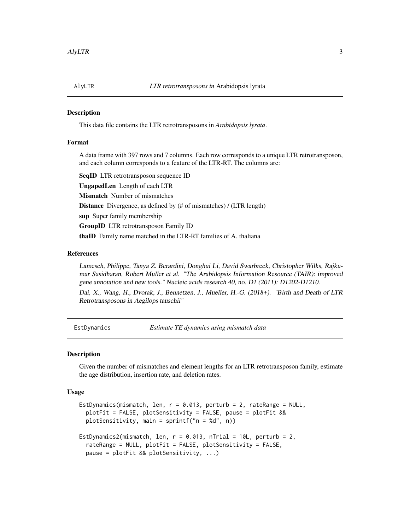<span id="page-2-0"></span>

#### **Description**

This data file contains the LTR retrotransposons in *Arabidopsis lyrata*.

### Format

A data frame with 397 rows and 7 columns. Each row corresponds to a unique LTR retrotransposon, and each column corresponds to a feature of the LTR-RT. The columns are:

SeqID LTR retrotransposon sequence ID UngapedLen Length of each LTR Mismatch Number of mismatches Distance Divergence, as defined by (# of mismatches) / (LTR length) sup Super family membership GroupID LTR retrotransposon Family ID thaID Family name matched in the LTR-RT families of A. thaliana

## References

Lamesch, Philippe, Tanya Z. Berardini, Donghui Li, David Swarbreck, Christopher Wilks, Rajkumar Sasidharan, Robert Muller et al. "The Arabidopsis Information Resource (TAIR): improved gene annotation and new tools." Nucleic acids research 40, no. D1 (2011): D1202-D1210.

Dai, X., Wang, H., Dvorak, J., Bennetzen, J., Mueller, H.-G. (2018+). "Birth and Death of LTR Retrotransposons in Aegilops tauschii"

<span id="page-2-1"></span>EstDynamics *Estimate TE dynamics using mismatch data*

## Description

Given the number of mismatches and element lengths for an LTR retrotransposon family, estimate the age distribution, insertion rate, and deletion rates.

#### Usage

```
EstDynamics(mismatch, len, r = 0.013, perturb = 2, rateRange = NULL,
 plotFit = FALSE, plotSensitivity = FALSE, pause = plotFit &&
 plotSensitivity, main = sprintf("n = %d", n))
EstDynamics2(mismatch, len, r = 0.013, nTrial = 10L, perturb = 2,
  rateRange = NULL, plotFit = FALSE, plotSensitivity = FALSE,
  pause = plotFit && plotSensitivity, ...)
```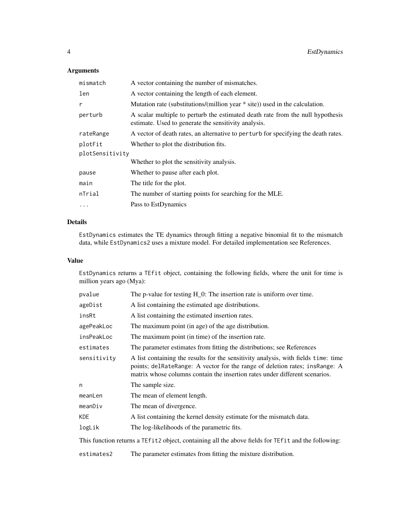## Arguments

| mismatch        | A vector containing the number of mismatches.                                                                                          |
|-----------------|----------------------------------------------------------------------------------------------------------------------------------------|
| len             | A vector containing the length of each element.                                                                                        |
| r               | Mutation rate (substitutions/(million year $*$ site)) used in the calculation.                                                         |
| perturb         | A scalar multiple to perturb the estimated death rate from the null hypothesis<br>estimate. Used to generate the sensitivity analysis. |
| rateRange       | A vector of death rates, an alternative to per turb for specifying the death rates.                                                    |
| plotFit         | Whether to plot the distribution fits.                                                                                                 |
| plotSensitivity |                                                                                                                                        |
|                 | Whether to plot the sensitivity analysis.                                                                                              |
| pause           | Whether to pause after each plot.                                                                                                      |
| main            | The title for the plot.                                                                                                                |
| nTrial          | The number of starting points for searching for the MLE.                                                                               |
| .               | Pass to EstDynamics                                                                                                                    |

## Details

EstDynamics estimates the TE dynamics through fitting a negative binomial fit to the mismatch data, while EstDynamics2 uses a mixture model. For detailed implementation see References.

#### Value

EstDynamics returns a TEfit object, containing the following fields, where the unit for time is million years ago (Mya):

| pvalue      | The p-value for testing $H_0$ : The insertion rate is uniform over time.                                                                                                                                                                         |
|-------------|--------------------------------------------------------------------------------------------------------------------------------------------------------------------------------------------------------------------------------------------------|
| ageDist     | A list containing the estimated age distributions.                                                                                                                                                                                               |
| insRt       | A list containing the estimated insertion rates.                                                                                                                                                                                                 |
| agePeakLoc  | The maximum point (in age) of the age distribution.                                                                                                                                                                                              |
| insPeakLoc  | The maximum point (in time) of the insertion rate.                                                                                                                                                                                               |
| estimates   | The parameter estimates from fitting the distributions; see References                                                                                                                                                                           |
| sensitivity | A list containing the results for the sensitivity analysis, with fields time: time<br>points; delRateRange: A vector for the range of deletion rates; insRange: A<br>matrix whose columns contain the insertion rates under different scenarios. |
| n           | The sample size.                                                                                                                                                                                                                                 |
| meanLen     | The mean of element length.                                                                                                                                                                                                                      |
| meanDiv     | The mean of divergence.                                                                                                                                                                                                                          |
| KDE         | A list containing the kernel density estimate for the mismatch data.                                                                                                                                                                             |
| logLik      | The log-likelihoods of the parametric fits.                                                                                                                                                                                                      |
|             | This function returns a TEfit 2 object, containing all the above fields for TEfit and the following:                                                                                                                                             |

estimates2 The parameter estimates from fitting the mixture distribution.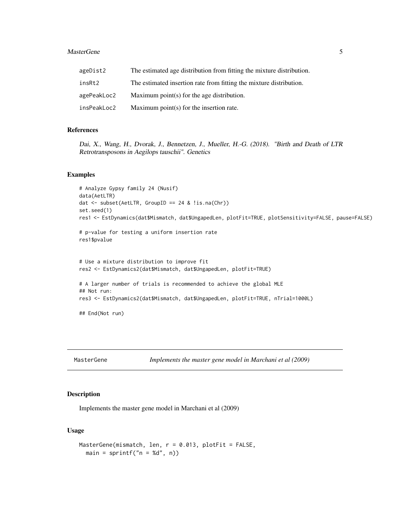#### <span id="page-4-0"></span>MasterGene 5

| ageDist2    | The estimated age distribution from fitting the mixture distribution. |
|-------------|-----------------------------------------------------------------------|
| insRt2      | The estimated insertion rate from fitting the mixture distribution.   |
| agePeakLoc2 | Maximum point(s) for the age distribution.                            |
| insPeakLoc2 | Maximum point(s) for the insertion rate.                              |

## References

Dai, X., Wang, H., Dvorak, J., Bennetzen, J., Mueller, H.-G. (2018). "Birth and Death of LTR Retrotransposons in Aegilops tauschii". Genetics

#### Examples

```
# Analyze Gypsy family 24 (Nusif)
data(AetLTR)
dat <- subset(AetLTR, GroupID == 24 & !is.na(Chr))
set.seed(1)
res1 <- EstDynamics(dat$Mismatch, dat$UngapedLen, plotFit=TRUE, plotSensitivity=FALSE, pause=FALSE)
# p-value for testing a uniform insertion rate
res1$pvalue
# Use a mixture distribution to improve fit
res2 <- EstDynamics2(dat$Mismatch, dat$UngapedLen, plotFit=TRUE)
# A larger number of trials is recommended to achieve the global MLE
## Not run:
res3 <- EstDynamics2(dat$Mismatch, dat$UngapedLen, plotFit=TRUE, nTrial=1000L)
## End(Not run)
```
MasterGene *Implements the master gene model in Marchani et al (2009)*

## Description

Implements the master gene model in Marchani et al (2009)

## Usage

```
MasterGene(mismatch, len, r = 0.013, plotFit = FALSE,
 main = sprintf("n = %d", n))
```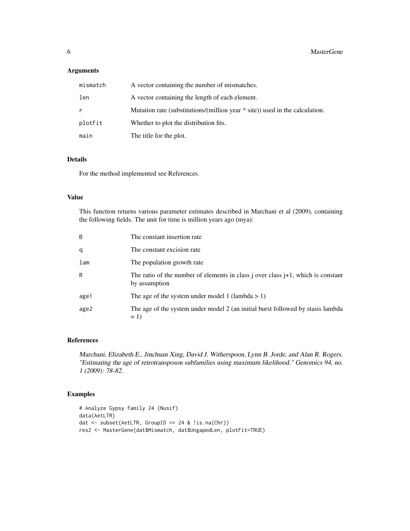## Arguments

| mismatch | A vector containing the number of mismatches.                                  |
|----------|--------------------------------------------------------------------------------|
| len      | A vector containing the length of each element.                                |
| r        | Mutation rate (substitutions/(million year $*$ site)) used in the calculation. |
| plotFit  | Whether to plot the distribution fits.                                         |
| main     | The title for the plot.                                                        |

## Details

For the method implemented see References.

#### Value

This function returns various parameter estimates described in Marchani et al (2009), containing the following fields. The unit for time is million years ago (mya):

| B    | The constant insertion rate                                                                          |
|------|------------------------------------------------------------------------------------------------------|
| q    | The constant excision rate                                                                           |
| lam  | The population growth rate                                                                           |
| R    | The ratio of the number of elements in class j over class $j+1$ , which is constant<br>by assumption |
| age1 | The age of the system under model 1 (lambda $> 1$ )                                                  |
| age2 | The age of the system under model 2 (an initial burst followed by stasis lambda<br>$= 1$             |

## References

Marchani, Elizabeth E., Jinchuan Xing, David J. Witherspoon, Lynn B. Jorde, and Alan R. Rogers. "Estimating the age of retrotransposon subfamilies using maximum likelihood." Genomics 94, no. 1 (2009): 78-82.

## Examples

```
# Analyze Gypsy family 24 (Nusif)
data(AetLTR)
dat <- subset(AetLTR, GroupID == 24 & !is.na(Chr))
res2 <- MasterGene(dat$Mismatch, dat$UngapedLen, plotFit=TRUE)
```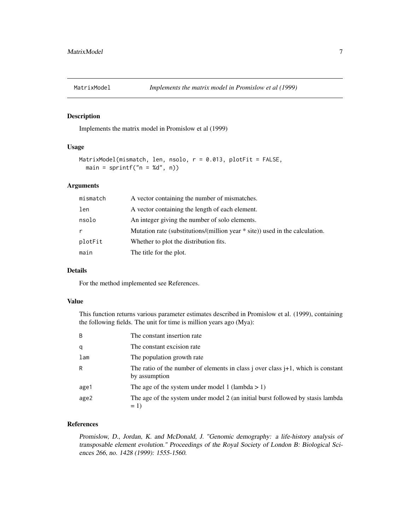<span id="page-6-0"></span>

#### Description

Implements the matrix model in Promislow et al (1999)

## Usage

```
MatrixModel(mismatch, len, nsolo, r = 0.013, plotFit = FALSE,
  main = springintf("n = %d", n))
```
#### Arguments

| mismatch | A vector containing the number of mismatches.                                  |
|----------|--------------------------------------------------------------------------------|
| len      | A vector containing the length of each element.                                |
| nsolo    | An integer giving the number of solo elements.                                 |
| r        | Mutation rate (substitutions/(million year $*$ site)) used in the calculation. |
| plotFit  | Whether to plot the distribution fits.                                         |
| main     | The title for the plot.                                                        |

#### Details

For the method implemented see References.

#### Value

This function returns various parameter estimates described in Promislow et al. (1999), containing the following fields. The unit for time is million years ago (Mya):

| B    | The constant insertion rate                                                                          |
|------|------------------------------------------------------------------------------------------------------|
| q    | The constant excision rate                                                                           |
| lam  | The population growth rate                                                                           |
| R    | The ratio of the number of elements in class j over class $j+1$ , which is constant<br>by assumption |
| age1 | The age of the system under model 1 (lambda $> 1$ )                                                  |
| age2 | The age of the system under model 2 (an initial burst followed by stasis lambda<br>$= 1$             |

## References

Promislow, D., Jordan, K. and McDonald, J. "Genomic demography: a life-history analysis of transposable element evolution." Proceedings of the Royal Society of London B: Biological Sciences 266, no. 1428 (1999): 1555-1560.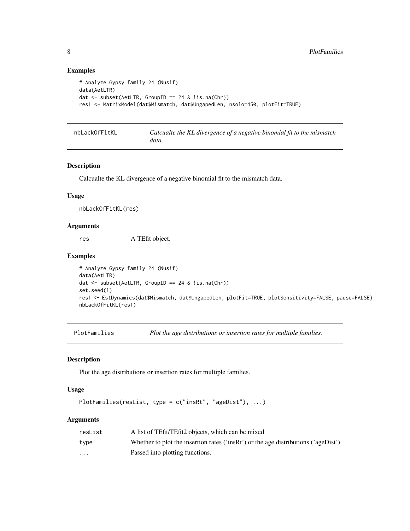## Examples

```
# Analyze Gypsy family 24 (Nusif)
data(AetLTR)
dat \leq subset(AetLTR, GroupID == 24 & !is.na(Chr))
res1 <- MatrixModel(dat$Mismatch, dat$UngapedLen, nsolo=450, plotFit=TRUE)
```

| nbLackOfFitKL | Calcualte the KL divergence of a negative binomial fit to the mismatch |
|---------------|------------------------------------------------------------------------|
|               | data.                                                                  |

## Description

Calcualte the KL divergence of a negative binomial fit to the mismatch data.

### Usage

nbLackOfFitKL(res)

#### Arguments

res A TEfit object.

#### Examples

```
# Analyze Gypsy family 24 (Nusif)
data(AetLTR)
dat <- subset(AetLTR, GroupID == 24 & !is.na(Chr))
set.seed(1)
res1 <- EstDynamics(dat$Mismatch, dat$UngapedLen, plotFit=TRUE, plotSensitivity=FALSE, pause=FALSE)
nbLackOfFitKL(res1)
```
PlotFamilies *Plot the age distributions or insertion rates for multiple families.*

#### Description

Plot the age distributions or insertion rates for multiple families.

#### Usage

```
PlotFamilies(resList, type = c("insRt", "ageDist"), ...)
```
## Arguments

| resList  | A list of TEfit/TEfit2 objects, which can be mixed                                  |
|----------|-------------------------------------------------------------------------------------|
| type     | Whether to plot the insertion rates ('insRt') or the age distributions ('ageDist'). |
| $\cdots$ | Passed into plotting functions.                                                     |

<span id="page-7-0"></span>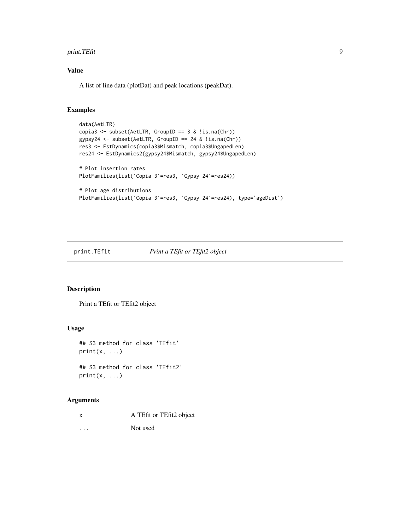<span id="page-8-0"></span>print. TEfit 9

## Value

A list of line data (plotDat) and peak locations (peakDat).

## Examples

```
data(AetLTR)
copia3 <- subset(AetLTR, GroupID == 3 & !is.na(Chr))
gypsy24 <- subset(AetLTR, GroupID == 24 & !is.na(Chr))
res3 <- EstDynamics(copia3$Mismatch, copia3$UngapedLen)
res24 <- EstDynamics2(gypsy24$Mismatch, gypsy24$UngapedLen)
# Plot insertion rates
PlotFamilies(list(`Copia 3`=res3, `Gypsy 24`=res24))
# Plot age distributions
PlotFamilies(list(`Copia 3`=res3, `Gypsy 24`=res24), type='ageDist')
```
## print.TEfit *Print a TEfit or TEfit2 object*

## Description

Print a TEfit or TEfit2 object

## Usage

```
## S3 method for class 'TEfit'
print(x, \ldots)
```

```
## S3 method for class 'TEfit2'
print(x, \ldots)
```
## Arguments

| x       | A TEfit or TEfit2 object |
|---------|--------------------------|
| $\cdot$ | Not used                 |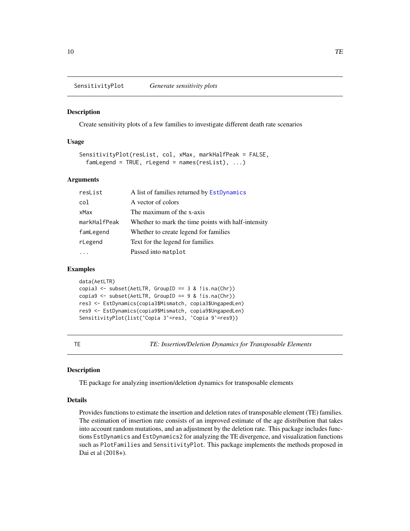#### <span id="page-9-0"></span>Description

Create sensitivity plots of a few families to investigate different death rate scenarios

#### Usage

```
SensitivityPlot(resList, col, xMax, markHalfPeak = FALSE,
  famLegend = TRUE, rLegend = names(resList), ...
```
## Arguments

| resList      | A list of families returned by EstDynamics          |
|--------------|-----------------------------------------------------|
| col          | A vector of colors                                  |
| xMax         | The maximum of the x-axis                           |
| markHalfPeak | Whether to mark the time points with half-intensity |
| famLegend    | Whether to create legend for families               |
| rLegend      | Text for the legend for families                    |
|              | Passed into matplot                                 |

## Examples

```
data(AetLTR)
copia3 <- subset(AetLTR, GroupID == 3 & 1is.na(Chr))
copia9 <- subset(AetLTR, GroupID == 9 & !is.na(Chr))
res3 <- EstDynamics(copia3$Mismatch, copia3$UngapedLen)
res9 <- EstDynamics(copia9$Mismatch, copia9$UngapedLen)
SensitivityPlot(list(`Copia 3`=res3, `Copia 9`=res9))
```
TE *TE: Insertion/Deletion Dynamics for Transposable Elements*

#### Description

TE package for analyzing insertion/deletion dynamics for transposable elements

#### Details

Provides functions to estimate the insertion and deletion rates of transposable element (TE) families. The estimation of insertion rate consists of an improved estimate of the age distribution that takes into account random mutations, and an adjustment by the deletion rate. This package includes functions EstDynamics and EstDynamics2 for analyzing the TE divergence, and visualization functions such as PlotFamilies and SensitivityPlot. This package implements the methods proposed in Dai et al (2018+).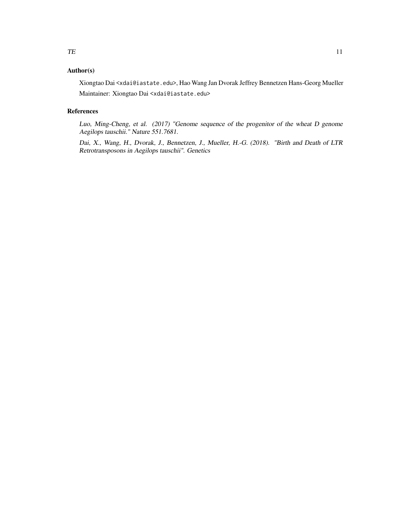## Author(s)

Xiongtao Dai <xdai@iastate.edu>, Hao Wang Jan Dvorak Jeffrey Bennetzen Hans-Georg Mueller Maintainer: Xiongtao Dai <xdai@iastate.edu>

## References

Luo, Ming-Cheng, et al. (2017) "Genome sequence of the progenitor of the wheat D genome Aegilops tauschii." Nature 551.7681.

Dai, X., Wang, H., Dvorak, J., Bennetzen, J., Mueller, H.-G. (2018). "Birth and Death of LTR Retrotransposons in Aegilops tauschii". Genetics